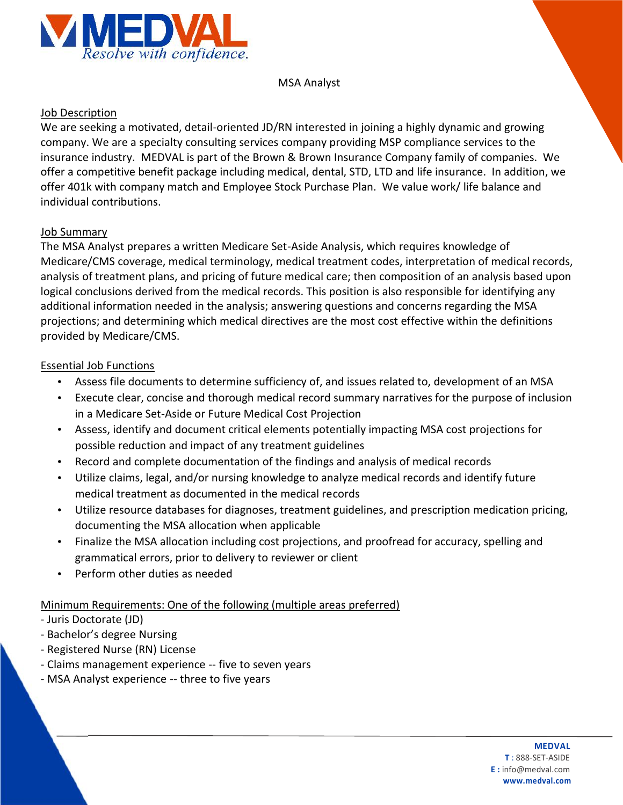

## MSA Analyst

## Job Description

We are seeking a motivated, detail-oriented JD/RN interested in joining a highly dynamic and growing company. We are a specialty consulting services company providing MSP compliance services to the insurance industry. MEDVAL is part of the Brown & Brown Insurance Company family of companies. We offer a competitive benefit package including medical, dental, STD, LTD and life insurance. In addition, we offer 401k with company match and Employee Stock Purchase Plan. We value work/ life balance and individual contributions.

## Job Summary

The MSA Analyst prepares a written Medicare Set-Aside Analysis, which requires knowledge of Medicare/CMS coverage, medical terminology, medical treatment codes, interpretation of medical records, analysis of treatment plans, and pricing of future medical care; then composition of an analysis based upon logical conclusions derived from the medical records. This position is also responsible for identifying any additional information needed in the analysis; answering questions and concerns regarding the MSA projections; and determining which medical directives are the most cost effective within the definitions provided by Medicare/CMS.

## Essential Job Functions

- Assess file documents to determine sufficiency of, and issues related to, development of an MSA
- Execute clear, concise and thorough medical record summary narratives for the purpose of inclusion in a Medicare Set-Aside or Future Medical Cost Projection
- Assess, identify and document critical elements potentially impacting MSA cost projections for possible reduction and impact of any treatment guidelines
- Record and complete documentation of the findings and analysis of medical records
- Utilize claims, legal, and/or nursing knowledge to analyze medical records and identify future medical treatment as documented in the medical records
- Utilize resource databases for diagnoses, treatment guidelines, and prescription medication pricing, documenting the MSA allocation when applicable
- Finalize the MSA allocation including cost projections, and proofread for accuracy, spelling and grammatical errors, prior to delivery to reviewer or client
- Perform other duties as needed

Minimum Requirements: One of the following (multiple areas preferred)

- Juris Doctorate (JD)
- Bachelor's degree Nursing
- Registered Nurse (RN) License
- Claims management experience -- five to seven years
- MSA Analyst experience -- three to five years

#### **MEDVAL**

**T** : 888-SET-ASIDE **E :** info@medval.com **www.medval.com**